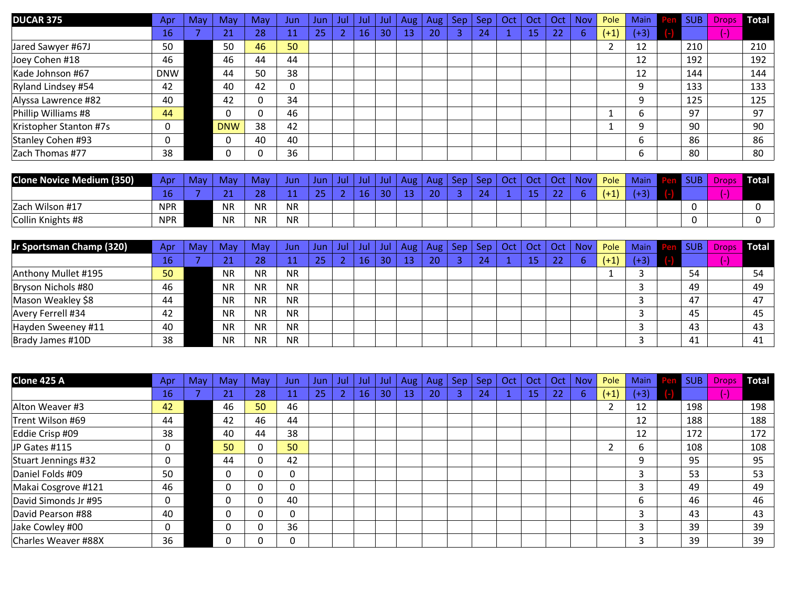| <b>DUCAR 375</b>       | Apr        | May | Mav        | Mav | Jun | Jun | Jul | Jul | Jul | Aug | Aug | <b>Sep</b> | <b>Sep</b> | Oct | Oct | Oct | <b>Nov</b> | Pole   | <b>Main</b> | - 33 | <b>SUB</b> | Drops | Total |
|------------------------|------------|-----|------------|-----|-----|-----|-----|-----|-----|-----|-----|------------|------------|-----|-----|-----|------------|--------|-------------|------|------------|-------|-------|
|                        | 16         |     | 24<br>21   | 28  |     | 25  |     | 16  | 30  | 13  | 20  |            | 24         |     | 15  | 22  | 6          | $(+1)$ | $(+3)$      |      |            | -1    |       |
| Jared Sawyer #67J      | 50         |     | 50         | 46  | 50  |     |     |     |     |     |     |            |            |     |     |     |            |        | 12          |      | 210        |       | 210   |
| Joey Cohen #18         | 46         |     | 46         | 44  | 44  |     |     |     |     |     |     |            |            |     |     |     |            |        | 12          |      | 192        |       | 192   |
| Kade Johnson #67       | <b>DNW</b> |     | 44         | 50  | 38  |     |     |     |     |     |     |            |            |     |     |     |            |        | 12          |      | 144        |       | 144   |
| Ryland Lindsey #54     | 42         |     | 40         | 42  | 0   |     |     |     |     |     |     |            |            |     |     |     |            |        | 9           |      | 133        |       | 133   |
| Alyssa Lawrence #82    | 40         |     | 42         | 0   | 34  |     |     |     |     |     |     |            |            |     |     |     |            |        | 9           |      | 125        |       | 125   |
| Phillip Williams #8    | 44         |     |            |     | 46  |     |     |     |     |     |     |            |            |     |     |     |            |        | b           |      | 97         |       | 97    |
| Kristopher Stanton #7s |            |     | <b>DNW</b> | 38  | 42  |     |     |     |     |     |     |            |            |     |     |     |            |        | q           |      | 90         |       | 90    |
| Stanley Cohen #93      |            |     |            | 40  | 40  |     |     |     |     |     |     |            |            |     |     |     |            |        | b           |      | 86         |       | 86    |
| Zach Thomas #77        | 38         |     |            | ∩   | 36  |     |     |     |     |     |     |            |            |     |     |     |            |        | 6           |      | 80         |       | 80    |

| <b>Clone Novice Medium (350)</b> | Apr        | May | May        | May       | lun       | Jun      | Jul. | Ju | Jul,          | Aug | Aug            | Sep | Sep                | Oct | <b>Oct</b> | Oct | <b>Nov</b> | Pole                                                | <b>Main</b> | <b>SUB</b> | Drops | Total <sup>T</sup> |
|----------------------------------|------------|-----|------------|-----------|-----------|----------|------|----|---------------|-----|----------------|-----|--------------------|-----|------------|-----|------------|-----------------------------------------------------|-------------|------------|-------|--------------------|
|                                  |            |     | . .<br>. . | 28        |           | $\Omega$ |      | 16 | $\sim$ $\sim$ |     | $\Omega$<br>2U |     | $\mathbf{a}$<br>-- |     |            |     |            | $\overline{ }$<br><b>Contract Contract Contract</b> |             |            |       |                    |
| Zach Wilson #17                  | <b>NPR</b> |     | <b>NR</b>  | <b>NR</b> | <b>NR</b> |          |      |    |               |     |                |     |                    |     |            |     |            |                                                     |             |            |       |                    |
| Collin Knights #8                | <b>NPR</b> |     | <b>NR</b>  | <b>NR</b> | <b>NR</b> |          |      |    |               |     |                |     |                    |     |            |     |            |                                                     |             |            |       |                    |

| Jr Sportsman Champ (320) | Apr | May | Mav           | May.      | Jun.      | Jun | Jul | Jul | Jul | Aug | Aug $ $ | Sen | <b>Sep</b> | Oct | Oct | Oct | <b>Nov</b> | Pole   | Main   | <b>Pen SUB</b> |               | Drops Total |
|--------------------------|-----|-----|---------------|-----------|-----------|-----|-----|-----|-----|-----|---------|-----|------------|-----|-----|-----|------------|--------|--------|----------------|---------------|-------------|
|                          | 467 |     | $\sim$<br>2 J | 28        |           | 25  |     | 16  | 30  | 13  | 20      |     | 24         |     | 15  | 22  | b          | $(+1)$ | $(+3)$ |                | $\mathcal{L}$ |             |
| Anthony Mullet #195      | 50  |     | <b>NR</b>     | <b>NR</b> | <b>NR</b> |     |     |     |     |     |         |     |            |     |     |     |            |        |        | 54             |               | 54          |
| Bryson Nichols #80       | 46  |     | <b>NR</b>     | <b>NR</b> | <b>NR</b> |     |     |     |     |     |         |     |            |     |     |     |            |        |        | 49             |               | 49          |
| Mason Weakley \$8        | 44  |     | <b>NR</b>     | <b>NR</b> | <b>NR</b> |     |     |     |     |     |         |     |            |     |     |     |            |        |        | 47             |               | 47          |
| Avery Ferrell #34        | 42  |     | <b>NR</b>     | <b>NR</b> | <b>NR</b> |     |     |     |     |     |         |     |            |     |     |     |            |        |        | 45             |               | 45          |
| Hayden Sweeney #11       | 40  |     | <b>NR</b>     | <b>NR</b> | <b>NR</b> |     |     |     |     |     |         |     |            |     |     |     |            |        |        | 43             |               | 43          |
| Brady James #10D         | 38  |     | <b>NR</b>     | <b>NR</b> | <b>NR</b> |     |     |     |     |     |         |     |            |     |     |     |            |        |        | 41             |               | 41          |

| Clone 425 A          | Apr | <b>May</b> | May      | May      | Jun | Jun | Jul | Jul | Jul | Aug | Aug | <b>Sep</b>     | <b>Sep</b> | Oct | Oct | Oct | Nov | Pole   | <b>Main</b> | Pen | <b>SUB</b> | <b>Drops</b>      | Total |
|----------------------|-----|------------|----------|----------|-----|-----|-----|-----|-----|-----|-----|----------------|------------|-----|-----|-----|-----|--------|-------------|-----|------------|-------------------|-------|
|                      | 16  |            | 21<br>∠⊥ | 28       | 11  | 25  | ി   | 16  | 30  | 13  | 20  | $\overline{3}$ | 24         |     | 15  | 22  | 6   | $(+1)$ | $(+3)$      |     |            | $\left( -\right)$ |       |
| Alton Weaver #3      | 42  |            | 46       | 50       | 46  |     |     |     |     |     |     |                |            |     |     |     |     |        | 12          |     | 198        |                   | 198   |
| Trent Wilson #69     | 44  |            | 42       | 46       | 44  |     |     |     |     |     |     |                |            |     |     |     |     |        | 12          |     | 188        |                   | 188   |
| Eddie Crisp #09      | 38  |            | 40       | 44       | 38  |     |     |     |     |     |     |                |            |     |     |     |     |        | 12          |     | 172        |                   | 172   |
| JP Gates #115        | 0   |            | 50       | $\Omega$ | 50  |     |     |     |     |     |     |                |            |     |     |     |     | າ      | ь           |     | 108        |                   | 108   |
| Stuart Jennings #32  | 0   |            | 44       |          | 42  |     |     |     |     |     |     |                |            |     |     |     |     |        | 9           |     | 95         |                   | 95    |
| Daniel Folds #09     | 50  |            | $\Omega$ |          | 0   |     |     |     |     |     |     |                |            |     |     |     |     |        |             |     | 53         |                   | 53    |
| Makai Cosgrove #121  | 46  |            | $\Omega$ |          | 0   |     |     |     |     |     |     |                |            |     |     |     |     |        |             |     | 49         |                   | 49    |
| David Simonds Jr #95 | 0   |            |          |          | 40  |     |     |     |     |     |     |                |            |     |     |     |     |        | 6           |     | 46         |                   | 46    |
| David Pearson #88    | 40  |            | $\Omega$ |          | 0   |     |     |     |     |     |     |                |            |     |     |     |     |        | 3           |     | 43         |                   | 43    |
| Jake Cowley #00      | 0   |            | $\Omega$ |          | 36  |     |     |     |     |     |     |                |            |     |     |     |     |        | 3           |     | 39         |                   | 39    |
| Charles Weaver #88X  | 36  |            |          |          | 0   |     |     |     |     |     |     |                |            |     |     |     |     |        | 3           |     | 39         |                   | 39    |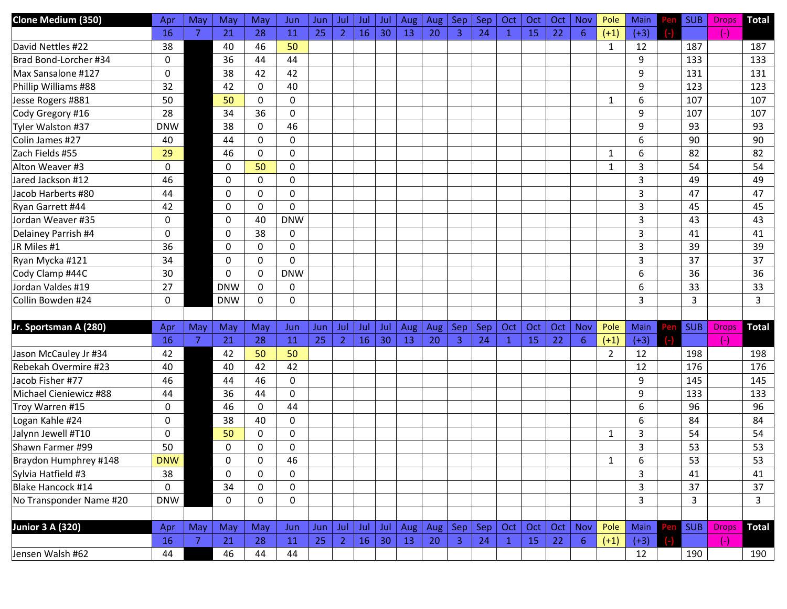| Clone Medium (350)      | Apr         | May | May        | May       | Jun              | Jun        | Jul            | Jul | Jul | Aug | <b>Aug</b> | <b>Sep</b>   | Sep | Oct          | Oct | Oct | Nov            | Pole           | Main         | <b>SUB</b> | <b>Drops</b> | <b>Total</b> |
|-------------------------|-------------|-----|------------|-----------|------------------|------------|----------------|-----|-----|-----|------------|--------------|-----|--------------|-----|-----|----------------|----------------|--------------|------------|--------------|--------------|
|                         | 16          | 7   | 21         | 28        | 11               | 25         | $\overline{2}$ | 16  | 30  | 13  | 20         | 3            | 24  | $\mathbf{1}$ | 15  | 22  | $6\phantom{1}$ | $(+1)$         | $(+3)$       |            | $(-)$        |              |
| David Nettles #22       | 38          |     | 40         | 46        | 50               |            |                |     |     |     |            |              |     |              |     |     |                | $\mathbf{1}$   | 12           | 187        |              | 187          |
| Brad Bond-Lorcher #34   | 0           |     | 36         | 44        | 44               |            |                |     |     |     |            |              |     |              |     |     |                |                | 9            | 133        |              | 133          |
| Max Sansalone #127      | 0           |     | 38         | 42        | 42               |            |                |     |     |     |            |              |     |              |     |     |                |                | 9            | 131        |              | 131          |
| Phillip Williams #88    | 32          |     | 42         | 0         | 40               |            |                |     |     |     |            |              |     |              |     |     |                |                | 9            | 123        |              | 123          |
| Jesse Rogers #881       | 50          |     | 50         | 0         | 0                |            |                |     |     |     |            |              |     |              |     |     |                | 1              | 6            | 107        |              | 107          |
| Cody Gregory #16        | 28          |     | 34         | 36        | 0                |            |                |     |     |     |            |              |     |              |     |     |                |                | 9            | 107        |              | 107          |
| Tyler Walston #37       | <b>DNW</b>  |     | 38         | 0         | 46               |            |                |     |     |     |            |              |     |              |     |     |                |                | 9            | 93         |              | 93           |
| Colin James #27         | 40          |     | 44         | 0         | 0                |            |                |     |     |     |            |              |     |              |     |     |                |                | 6            | 90         |              | 90           |
| Zach Fields #55         | 29          |     | 46         | 0         | 0                |            |                |     |     |     |            |              |     |              |     |     |                | 1              | 6            | 82         |              | 82           |
| Alton Weaver #3         | 0           |     | 0          | 50        | 0                |            |                |     |     |     |            |              |     |              |     |     |                | 1              | 3            | 54         |              | 54           |
| Jared Jackson #12       | 46          |     | 0          | 0         | 0                |            |                |     |     |     |            |              |     |              |     |     |                |                | 3            | 49         |              | 49           |
| Jacob Harberts #80      | 44          |     | 0          | 0         | 0                |            |                |     |     |     |            |              |     |              |     |     |                |                | 3            | 47         |              | 47           |
| Ryan Garrett #44        | 42          |     | 0          | 0         | $\mathbf{0}$     |            |                |     |     |     |            |              |     |              |     |     |                |                | 3            | 45         |              | 45           |
| Jordan Weaver #35       | 0           |     | 0          | 40        | <b>DNW</b>       |            |                |     |     |     |            |              |     |              |     |     |                |                | 3            | 43         |              | 43           |
| Delainey Parrish #4     | 0           |     | 0          | 38        | 0                |            |                |     |     |     |            |              |     |              |     |     |                |                | 3            | 41         |              | 41           |
| JR Miles #1             | 36          |     | 0          | 0         | 0                |            |                |     |     |     |            |              |     |              |     |     |                |                | 3            | 39         |              | 39           |
| Ryan Mycka #121         | 34          |     | 0          | 0         | $\Omega$         |            |                |     |     |     |            |              |     |              |     |     |                |                | 3            | 37         |              | 37           |
| Cody Clamp #44C         | 30          |     | 0          | 0         | <b>DNW</b>       |            |                |     |     |     |            |              |     |              |     |     |                |                | 6            | 36         |              | 36           |
| Jordan Valdes #19       | 27          |     | <b>DNW</b> | 0         | 0                |            |                |     |     |     |            |              |     |              |     |     |                |                | 6            | 33         |              | 33           |
| Collin Bowden #24       | 0           |     | <b>DNW</b> | 0         | 0                |            |                |     |     |     |            |              |     |              |     |     |                |                | 3            | 3          |              | 3            |
|                         |             |     |            |           |                  |            |                |     |     |     |            |              |     |              |     |     |                |                |              |            |              |              |
| Jr. Sportsman A (280)   | Apr         | May | May        | May       | Jun              | Jun        | Jul            | Jul | Jul | Aug | Aug        | Sep          | Sep | Oct          | Oct | Oct | Nov            | Pole           | Main         | <b>SUB</b> | <b>Drops</b> | <b>Total</b> |
|                         | 16          | 7   | 21         | 28        | 11               | 25         | -2             | 16  | 30  | 13  | 20         | 3            | 24  | $\mathbf{1}$ | 15  | 22  | 6              | $(+1)$         | $(+3)$       |            | $(-)$        |              |
| Jason McCauley Jr #34   | 42          |     | 42         | 50        | 50               |            |                |     |     |     |            |              |     |              |     |     |                | $\overline{2}$ | 12           | 198        |              | 198          |
| Rebekah Overmire #23    | 40          |     | 40         | 42        | 42               |            |                |     |     |     |            |              |     |              |     |     |                |                | 12           | 176        |              | 176          |
| Jacob Fisher #77        | 46          |     | 44         | 46        | 0                |            |                |     |     |     |            |              |     |              |     |     |                |                | 9            | 145        |              | 145          |
| Michael Cieniewicz #88  | 44          |     | 36         | 44        | 0                |            |                |     |     |     |            |              |     |              |     |     |                |                | 9            | 133        |              | 133          |
| Troy Warren #15         | 0           |     | 46         | 0         | 44               |            |                |     |     |     |            |              |     |              |     |     |                |                | 6            | 96         |              | 96           |
| Logan Kahle #24         | 0           |     | 38         | 40        | 0                |            |                |     |     |     |            |              |     |              |     |     |                |                | 6            | 84         |              | 84           |
| Jalynn Jewell #T10      | 0           |     | 50         | 0         | 0                |            |                |     |     |     |            |              |     |              |     |     |                | 1              | 3            | 54         |              | 54           |
| Shawn Farmer #99        | 50          |     | 0          | 0         | 0                |            |                |     |     |     |            |              |     |              |     |     |                |                | 3            | 53         |              | 53           |
| Braydon Humphrey #148   | <b>DNW</b>  |     | 0          | 0         | 46               |            |                |     |     |     |            |              |     |              |     |     |                | $\mathbf{1}$   | 6            | 53         |              | 53           |
| Sylvia Hatfield #3      | 38          |     | 0          | 0         | 0                |            |                |     |     |     |            |              |     |              |     |     |                |                | 3            | 41         |              | 41           |
| Blake Hancock #14       | $\mathbf 0$ |     | 34         | $\pmb{0}$ | 0                |            |                |     |     |     |            |              |     |              |     |     |                |                | 3            | 37         |              | 37           |
| No Transponder Name #20 | <b>DNW</b>  |     | 0          | 0         | $\boldsymbol{0}$ |            |                |     |     |     |            |              |     |              |     |     |                |                | $\mathbf{3}$ | 3          |              | 3            |
|                         |             |     |            |           |                  |            |                |     |     |     |            |              |     |              |     |     |                |                |              |            |              |              |
| <b>Junior 3 A (320)</b> | Apr         | May | May        | May       | Jun              | <b>Jun</b> | Jul            | Jul | Jul | Aug | Aug $ $    | Sep          | Sep | Oct          | Oct | Oct | <b>Nov</b>     | Pole           | Main         | <b>SUB</b> | <b>Drops</b> | <b>Total</b> |
|                         | 16          | 7   | 21         | 28        | 11               | 25         | $\overline{2}$ | 16  | 30  | 13  | 20         | $\mathbf{3}$ | 24  | $\mathbf{1}$ | 15  | 22  | 6 <sup>1</sup> | $(+1)$         | $(+3)$       |            | $(-)$        |              |
| Jensen Walsh #62        | 44          |     | 46         | 44        | 44               |            |                |     |     |     |            |              |     |              |     |     |                |                | 12           | 190        |              | 190          |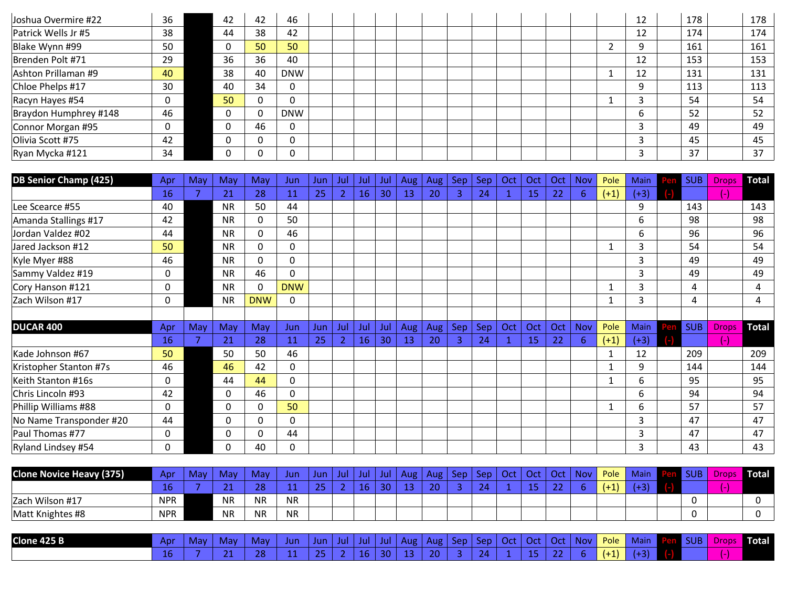| Joshua Overmire #22   | 36 | 42 | 42 | -46        |  |  |  |  | 12 | 178 | 178 |
|-----------------------|----|----|----|------------|--|--|--|--|----|-----|-----|
| Patrick Wells Jr #5   | 38 | 44 | 38 | 42         |  |  |  |  | 12 | 174 | 174 |
| Blake Wynn #99        | 50 | υ  | 50 | 50         |  |  |  |  | 9  | 161 | 161 |
| Brenden Polt #71      | 29 | 36 | 36 | 40         |  |  |  |  | 12 | 153 | 153 |
| Ashton Prillaman #9   | 40 | 38 | 40 | <b>DNW</b> |  |  |  |  | 12 | 131 | 131 |
| Chloe Phelps #17      | 30 | 40 | 34 | 0          |  |  |  |  | 9  | 113 | 113 |
| Racyn Hayes #54       |    | 50 |    | $\Omega$   |  |  |  |  |    | 54  | 54  |
| Braydon Humphrey #148 | 46 |    |    | <b>DNW</b> |  |  |  |  | h  | 52  | 52  |
| Connor Morgan #95     |    |    | 46 | 0          |  |  |  |  |    | 49  | 49  |
| Olivia Scott #75      | 42 |    |    | 0          |  |  |  |  |    | 45  | 45  |
| Ryan Mycka #121       | 34 |    |    | 0          |  |  |  |  |    | 37  | 37  |

| <b>DB Senior Champ (425)</b> | Apr          | May | Mav          | May        | Jun          | Jun. | Jul            | Jul | Jul | Aug | Aug | Sep.         | Sep | Oct | Oct | Oct | <b>Nov</b> | Pole   | <b>Main</b> | <b>SUB</b> | <b>Drops</b> | Total        |
|------------------------------|--------------|-----|--------------|------------|--------------|------|----------------|-----|-----|-----|-----|--------------|-----|-----|-----|-----|------------|--------|-------------|------------|--------------|--------------|
|                              | 16           | 7   | 21           | 28         | 11           | 25   | $\overline{2}$ | 16  | 30  | 13  | 20  | $\mathbf{3}$ | 24  |     | 15  | 22  | 6          | $(+1)$ | $(+3)$      |            | $(-)$        |              |
| Lee Scearce #55              | 40           |     | <b>NR</b>    | 50         | 44           |      |                |     |     |     |     |              |     |     |     |     |            |        | q           | 143        |              | 143          |
| Amanda Stallings #17         | 42           |     | <b>NR</b>    | 0          | 50           |      |                |     |     |     |     |              |     |     |     |     |            |        | 6           | 98         |              | 98           |
| Jordan Valdez #02            | 44           |     | <b>NR</b>    | 0          | 46           |      |                |     |     |     |     |              |     |     |     |     |            |        | 6           | 96         |              | 96           |
| Jared Jackson #12            | 50           |     | <b>NR</b>    | 0          | 0            |      |                |     |     |     |     |              |     |     |     |     |            |        | 3           | 54         |              | 54           |
| Kyle Myer #88                | 46           |     | <b>NR</b>    | 0          | 0            |      |                |     |     |     |     |              |     |     |     |     |            |        | 3           | 49         |              | 49           |
| Sammy Valdez #19             | 0            |     | <b>NR</b>    | 46         | 0            |      |                |     |     |     |     |              |     |     |     |     |            |        | 3           | 49         |              | 49           |
| Cory Hanson #121             | 0            |     | <b>NR</b>    | 0          | <b>DNW</b>   |      |                |     |     |     |     |              |     |     |     |     |            |        | 3           | 4          |              | 4            |
| Zach Wilson #17              | 0            |     | <b>NR</b>    | <b>DNW</b> | $\Omega$     |      |                |     |     |     |     |              |     |     |     |     |            |        | 3           | 4          |              | 4            |
|                              |              |     |              |            |              |      |                |     |     |     |     |              |     |     |     |     |            |        |             |            |              |              |
| <b>DUCAR 400</b>             | Apr          | May | May          | May        | Jun          | Jun  | Jul            | Jul | Jul | Aug | Aug | Sep          | Sep | Oct | Oct | Oct | Nov        | Pole   | Main        | <b>SUB</b> | <b>Drops</b> | <b>Total</b> |
|                              | 16           | 7   | 21           | 28         | 11           | 25   | $\overline{2}$ | 16  | 30  | 13  | 20  | 3            | 24  |     | 15  | 22  | 6          | $(+1)$ | $(+3)$      |            | $(-)$        |              |
| Kade Johnson #67             | 50           |     | 50           | 50         | 46           |      |                |     |     |     |     |              |     |     |     |     |            |        | 12          | 209        |              | 209          |
| Kristopher Stanton #7s       | 46           |     | 46           | 42         | $\mathbf{0}$ |      |                |     |     |     |     |              |     |     |     |     |            |        | 9           | 144        |              | 144          |
| Keith Stanton #16s           | $\mathbf{0}$ |     | 44           | 44         | 0            |      |                |     |     |     |     |              |     |     |     |     |            |        | 6.          | 95         |              | 95           |
| Chris Lincoln #93            | 42           |     | 0            | 46         | $\Omega$     |      |                |     |     |     |     |              |     |     |     |     |            |        | 6           | 94         |              | 94           |
| Phillip Williams #88         | $\Omega$     |     | 0            | 0          | 50           |      |                |     |     |     |     |              |     |     |     |     |            |        | 6           | 57         |              | 57           |
| No Name Transponder #20      | 44           |     | $\mathbf{0}$ | 0          | 0            |      |                |     |     |     |     |              |     |     |     |     |            |        | 3           | 47         |              | 47           |
| Paul Thomas #77              | 0            |     | 0            | 0          | 44           |      |                |     |     |     |     |              |     |     |     |     |            |        | 3           | 47         |              | 47           |
| Ryland Lindsey #54           | 0            |     | 0            | 40         | 0            |      |                |     |     |     |     |              |     |     |     |     |            |        | 3           | 43         |              | 43           |

| <b>Clone Novice Heavy (375)</b> | Apr        | <b>May</b> | <b>May</b>              | <b>May</b> | Jun       | Jun        | Jul | Jul | Jul | Aug | Aug                 | Sep. | Sep | Oct | Oct | Oct           | <b>Nov</b> | Pole   | <b>Main</b> | n e c | <b>SUB</b> | <b>Drops</b> | Total |
|---------------------------------|------------|------------|-------------------------|------------|-----------|------------|-----|-----|-----|-----|---------------------|------|-----|-----|-----|---------------|------------|--------|-------------|-------|------------|--------------|-------|
|                                 | . .        |            | $\sim$ $\lambda$<br>. . | າດ<br>20   |           | $\sim$ $-$ |     | ιb  | 30  | --  | $\sim$ $\sim$<br>ΖU |      | 24  |     |     | $\sim$ $\sim$ |            | $(+1)$ |             |       |            |              |       |
| Zach Wilson #17                 | <b>NPR</b> |            | <b>NR</b>               | <b>NR</b>  | <b>NR</b> |            |     |     |     |     |                     |      |     |     |     |               |            |        |             |       |            |              |       |
| Matt Knightes #8                | <b>NPR</b> |            | <b>NR</b>               | <b>NR</b>  | <b>NR</b> |            |     |     |     |     |                     |      |     |     |     |               |            |        |             |       |            |              |       |

| Clone 425 B | Apr | Mav | Mav | May      | Jun | Jun           | Jul | ш | ш  | Aug | Aug | sep | Sen. | <u>ra</u> | Oci | Oci | <b>Nov</b> | Pole | <b>Main</b> | <b>SUB</b> | <b>Drops</b> | <b>Total</b> |
|-------------|-----|-----|-----|----------|-----|---------------|-----|---|----|-----|-----|-----|------|-----------|-----|-----|------------|------|-------------|------------|--------------|--------------|
|             | 16  |     |     | ററ<br>20 |     | $\sim$ $\sim$ |     |   | 30 |     | ററ  |     | ,,   |           |     |     |            |      |             |            |              |              |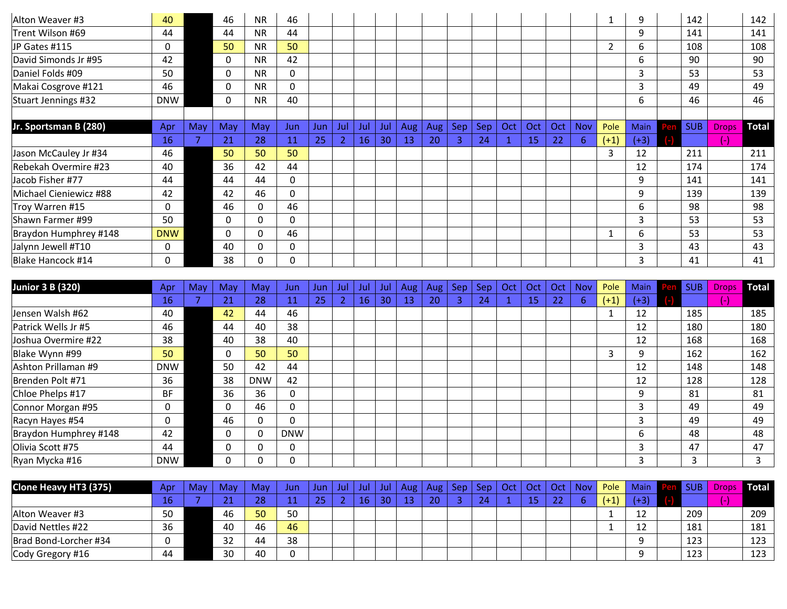| Alton Weaver #3        | 40         |     | 46  | <b>NR</b> | 46           |      |                |     |     |     |     |     |     |     |           |     |            |                | 9           | 142        |              | 142   |
|------------------------|------------|-----|-----|-----------|--------------|------|----------------|-----|-----|-----|-----|-----|-----|-----|-----------|-----|------------|----------------|-------------|------------|--------------|-------|
| Trent Wilson #69       | 44         |     | 44  | <b>NR</b> | 44           |      |                |     |     |     |     |     |     |     |           |     |            |                | 9           | 141        |              | 141   |
| JP Gates #115          | 0          |     | 50  | <b>NR</b> | 50           |      |                |     |     |     |     |     |     |     |           |     |            | $\overline{2}$ | 6           | 108        |              | 108   |
| David Simonds Jr #95   | 42         |     | 0   | <b>NR</b> | 42           |      |                |     |     |     |     |     |     |     |           |     |            |                | 6.          | 90         |              | 90    |
| Daniel Folds #09       | 50         |     | 0   | <b>NR</b> | $\mathbf{0}$ |      |                |     |     |     |     |     |     |     |           |     |            |                | 3           | 53         |              | 53    |
| Makai Cosgrove #121    | 46         |     | 0   | <b>NR</b> | $\mathbf 0$  |      |                |     |     |     |     |     |     |     |           |     |            |                | 3           | 49         |              | 49    |
| Stuart Jennings #32    | <b>DNW</b> |     | 0   | <b>NR</b> | 40           |      |                |     |     |     |     |     |     |     |           |     |            |                | 6           | 46         |              | 46    |
|                        |            |     |     |           |              |      |                |     |     |     |     |     |     |     |           |     |            |                |             |            |              |       |
| Jr. Sportsman B (280)  | Apr        | May | May | May       | Jun.         | Jun. | Jul            | Jul | Jul | Aug | Aug | Sep | Sep | Oct | Oct       | Oct | <b>Nov</b> | Pole           | <b>Main</b> | <b>SUB</b> | <b>Drops</b> | Total |
|                        | 16         | 7   | 21  | 28        | 11           | 25   | $\overline{2}$ | 16  | 30  | 13  | 20  | 3.  | 24  |     | <b>15</b> | 22  | 6          | $(+1)$         | $(+3)$      |            | $(-)$        |       |
| Jason McCauley Jr #34  | 46         |     | 50  | 50        | 50           |      |                |     |     |     |     |     |     |     |           |     |            | 3              | 12          | 211        |              | 211   |
| Rebekah Overmire #23   | 40         |     | 36  | 42        | 44           |      |                |     |     |     |     |     |     |     |           |     |            |                | 12          | 174        |              | 174   |
| Jacob Fisher #77       | 44         |     | 44  | 44        | $\Omega$     |      |                |     |     |     |     |     |     |     |           |     |            |                | 9           | 141        |              | 141   |
| Michael Cieniewicz #88 | 42         |     | 42  | 46        | $\Omega$     |      |                |     |     |     |     |     |     |     |           |     |            |                | 9           | 139        |              | 139   |
| Troy Warren #15        | 0          |     | 46  | 0         | 46           |      |                |     |     |     |     |     |     |     |           |     |            |                | 6           | 98         |              | 98    |
| Shawn Farmer #99       | 50         |     | 0   | 0         | 0            |      |                |     |     |     |     |     |     |     |           |     |            |                | 3           | 53         |              | 53    |
| Braydon Humphrey #148  | <b>DNW</b> |     | 0   | 0         | 46           |      |                |     |     |     |     |     |     |     |           |     |            |                | 6           | 53         |              | 53    |
|                        |            |     |     |           |              |      |                |     |     |     |     |     |     |     |           |     |            |                |             |            |              |       |
| Jalynn Jewell #T10     | 0          |     | 40  | 0         | 0            |      |                |     |     |     |     |     |     |     |           |     |            |                | 3           | 43         |              | 43    |

| <b>Junior 3 B (320)</b> | Apr             | May | May      | May          | Jun        | Jun | -Jul | Jul       | Jul | Aug | Aug | Sep | <b>Sep</b> | Oct | Oct | Oct | <b>Nov</b> | Pole   | <b>Main</b> | 20 | <b>SUB</b> | <b>Drops</b> | <b>Total</b> |
|-------------------------|-----------------|-----|----------|--------------|------------|-----|------|-----------|-----|-----|-----|-----|------------|-----|-----|-----|------------|--------|-------------|----|------------|--------------|--------------|
|                         | 16 <sup>°</sup> |     | 21       | 28           | 11         | 25  |      | <b>16</b> | 30  | 13  | 20  |     | 24         |     | 15  | 22  | 6          | $(+1)$ | $(+3)$      |    |            | шı           |              |
| Jensen Walsh #62        | 40              |     | 42       | 44           | 46         |     |      |           |     |     |     |     |            |     |     |     |            |        | 12          |    | 185        |              | 185          |
| Patrick Wells Jr #5     | 46              |     | 44       | 40           | 38         |     |      |           |     |     |     |     |            |     |     |     |            |        | 12          |    | 180        |              | 180          |
| Joshua Overmire #22     | 38              |     | 40       | 38           | 40         |     |      |           |     |     |     |     |            |     |     |     |            |        | 12          |    | 168        |              | 168          |
| Blake Wynn #99          | 50              |     | $\Omega$ | 50           | 50         |     |      |           |     |     |     |     |            |     |     |     |            | 3      | q           |    | 162        |              | 162          |
| Ashton Prillaman #9     | <b>DNW</b>      |     | 50       | 42           | 44         |     |      |           |     |     |     |     |            |     |     |     |            |        | 12          |    | 148        |              | 148          |
| Brenden Polt #71        | 36              |     | 38       | <b>DNW</b>   | 42         |     |      |           |     |     |     |     |            |     |     |     |            |        | 12          |    | 128        |              | 128          |
| Chloe Phelps #17        | <b>BF</b>       |     | 36       | 36           | 0          |     |      |           |     |     |     |     |            |     |     |     |            |        | 9           |    | 81         |              | 81           |
| Connor Morgan #95       |                 |     | 0        | 46           | 0          |     |      |           |     |     |     |     |            |     |     |     |            |        |             |    | 49         |              | 49           |
| Racyn Hayes #54         |                 |     | 46       | $\mathbf{0}$ | $\Omega$   |     |      |           |     |     |     |     |            |     |     |     |            |        | ∍           |    | 49         |              | 49           |
| Braydon Humphrey #148   | 42              |     | 0        | 0            | <b>DNW</b> |     |      |           |     |     |     |     |            |     |     |     |            |        | 6           |    | 48         |              | 48           |
| Olivia Scott #75        | 44              |     | 0        | 0            | 0          |     |      |           |     |     |     |     |            |     |     |     |            |        | 3           |    | 47         |              | 47           |
| Ryan Mycka #16          | <b>DNW</b>      |     | $\Omega$ | 0            | $\Omega$   |     |      |           |     |     |     |     |            |     |     |     |            |        | ς           |    | 3          |              | ∍            |

| Clone Heavy HT3 (375) | Apr | May | Mav          | May | Jun | Jun      | Jul | Jul | Jul | Aug    | Aug | Sep. | <b>Sep</b> | Oct | Oct | Oct           | <b>Nov</b> | Pole | Main     | <b>SUB</b> | Drops' | <b>Total</b> |
|-----------------------|-----|-----|--------------|-----|-----|----------|-----|-----|-----|--------|-----|------|------------|-----|-----|---------------|------------|------|----------|------------|--------|--------------|
|                       | 467 |     | <u> L J</u>  | 28  |     | つに<br>رے |     |     | 20  | $\sim$ | 20  |      | 24         |     | 4 F | $\sim$ $\sim$ |            | (11) | (+3)     |            |        |              |
| Alton Weaver #3       | 50  |     | 46           | 50  | 50  |          |     |     |     |        |     |      |            |     |     |               |            |      | 12       | 209        |        | 209          |
| David Nettles #22     | 36  |     | 40           | 46  | 46  |          |     |     |     |        |     |      |            |     |     |               |            |      | 12<br>∸∸ | 181        |        | 181          |
| Brad Bond-Lorcher #34 |     |     | $\sim$<br>32 | 44  | 38  |          |     |     |     |        |     |      |            |     |     |               |            |      |          | 123        |        | 123          |
| Cody Gregory #16      | 44  |     | 30           | 40  |     |          |     |     |     |        |     |      |            |     |     |               |            |      |          | 123        |        | 123          |